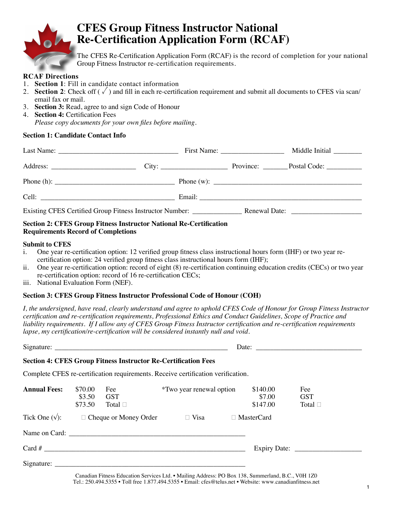

# **CFES Group Fitness Instructor National Re-Certification Application Form (RCAF)**

The CFES Re-Certification Application Form (RCAF) is the record of completion for your national Group Fitness Instructor re-certification requirements.

#### **RCAF Directions**

- 1. **Section 1**: Fill in candidate contact information
- 2. **Section 2**: Check off  $(\sqrt{\ })$  and fill in each re-certification requirement and submit all documents to CFES via scan/ email fax or mail.
- 3. **Section 3:** Read, agree to and sign Code of Honour
- 4. **Section 4:** Certification Fees *Please copy documents for your own files before mailing.*

#### **Section 1: Candidate Contact Info**

|                                                                                                                                                                                                                                                                                                                  | First Name: $\frac{1}{2}$ | Middle Initial |  |
|------------------------------------------------------------------------------------------------------------------------------------------------------------------------------------------------------------------------------------------------------------------------------------------------------------------|---------------------------|----------------|--|
|                                                                                                                                                                                                                                                                                                                  |                           |                |  |
| Phone (h): $\frac{1}{2}$ $\frac{1}{2}$ $\frac{1}{2}$ $\frac{1}{2}$ $\frac{1}{2}$ $\frac{1}{2}$ $\frac{1}{2}$ $\frac{1}{2}$ $\frac{1}{2}$ $\frac{1}{2}$ $\frac{1}{2}$ $\frac{1}{2}$ $\frac{1}{2}$ $\frac{1}{2}$ $\frac{1}{2}$ $\frac{1}{2}$ $\frac{1}{2}$ $\frac{1}{2}$ $\frac{1}{2}$ $\frac{1}{2}$ $\frac{1}{2}$ |                           |                |  |
|                                                                                                                                                                                                                                                                                                                  |                           |                |  |
|                                                                                                                                                                                                                                                                                                                  |                           |                |  |

#### **Section 2: CFES Group Fitness Instructor National Re-Certification Requirements Record of Completions**

#### **Submit to CFES**

- i. One year re-certification option: 12 verified group fitness class instructional hours form (IHF) or two year recertification option: 24 verified group fitness class instructional hours form (IHF);
- ii. One year re-certification option: record of eight (8) re-certification continuing education credits (CECs) or two year re-certification option: record of 16 re-certification CECs;
- iii. National Evaluation Form (NEF).

#### **Section 3: CFES Group Fitness Instructor Professional Code of Honour (COH)**

*I, the undersigned, have read, clearly understand and agree to uphold CFES Code of Honour for Group Fitness Instructor certification and re-certification requirements, Professional Ethics and Conduct Guidelines, Scope of Practice and liability requirements. If I allow any of CFES Group Fitness Instructor certification and re-certification requirements lapse, my certification/re-certification will be considered instantly null and void.* 

| Signature: $\frac{1}{\sqrt{1-\frac{1}{2}}\sqrt{1-\frac{1}{2}}\sqrt{1-\frac{1}{2}}\sqrt{1-\frac{1}{2}}\sqrt{1-\frac{1}{2}}\sqrt{1-\frac{1}{2}}\sqrt{1-\frac{1}{2}}\sqrt{1-\frac{1}{2}}\sqrt{1-\frac{1}{2}}\sqrt{1-\frac{1}{2}}\sqrt{1-\frac{1}{2}}\sqrt{1-\frac{1}{2}}\sqrt{1-\frac{1}{2}}\sqrt{1-\frac{1}{2}}\sqrt{1-\frac{1}{2}}\sqrt{1-\frac{1}{2}}\sqrt{1-\frac{1}{2}}\sqrt{1-\frac{1}{2}}\sqrt{1-\frac$ |                              |                                                                       |                                                                                  |                                |                                      |  |
|-------------------------------------------------------------------------------------------------------------------------------------------------------------------------------------------------------------------------------------------------------------------------------------------------------------------------------------------------------------------------------------------------------------|------------------------------|-----------------------------------------------------------------------|----------------------------------------------------------------------------------|--------------------------------|--------------------------------------|--|
|                                                                                                                                                                                                                                                                                                                                                                                                             |                              | <b>Section 4: CFES Group Fitness Instructor Re-Certification Fees</b> |                                                                                  |                                |                                      |  |
|                                                                                                                                                                                                                                                                                                                                                                                                             |                              |                                                                       | Complete CFES re-certification requirements. Receive certification verification. |                                |                                      |  |
| <b>Annual Fees:</b>                                                                                                                                                                                                                                                                                                                                                                                         | \$70.00<br>\$3.50<br>\$73.50 | Fee<br><b>GST</b><br>Total $\Box$                                     | <i>*Two year renewal option</i>                                                  | \$140.00<br>\$7.00<br>\$147.00 | Fee<br><b>GST</b><br>Total $\square$ |  |
|                                                                                                                                                                                                                                                                                                                                                                                                             |                              | Tick One $(\sqrt{\ }):$ $\Box$ Cheque or Money Order                  | $\Box$ Visa                                                                      | $\Box$ MasterCard              |                                      |  |
|                                                                                                                                                                                                                                                                                                                                                                                                             |                              |                                                                       |                                                                                  |                                |                                      |  |
|                                                                                                                                                                                                                                                                                                                                                                                                             |                              |                                                                       |                                                                                  |                                |                                      |  |
|                                                                                                                                                                                                                                                                                                                                                                                                             |                              |                                                                       |                                                                                  |                                |                                      |  |

Canadian Fitness Education Services Ltd. • Mailing Address: PO Box 138, Summerland, B.C., V0H 1Z0 Tel.: 250.494.5355 • Toll free 1.877.494.5355 • Email: cfes@telus.net • Website: www.canadianfitness.net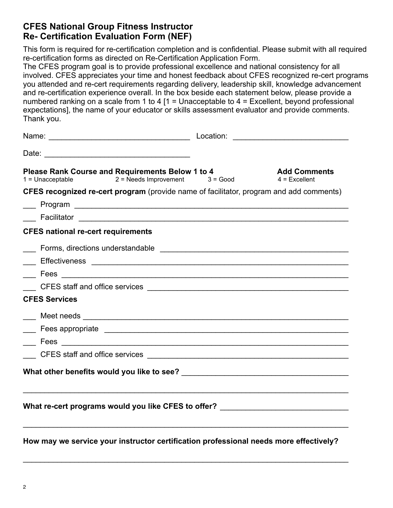## **CFES National Group Fitness Instructor Re- Certification Evaluation Form (NEF)**

This form is required for re-certification completion and is confidential. Please submit with all required re-certification forms as directed on Re-Certification Application Form.

The CFES program goal is to provide professional excellence and national consistency for all involved. CFES appreciates your time and honest feedback about CFES recognized re-cert programs you attended and re-cert requirements regarding delivery, leadership skill, knowledge advancement and re-certification experience overall. In the box beside each statement below, please provide a numbered ranking on a scale from 1 to 4  $[1 =$  Unacceptable to 4 = Excellent, beyond professional expectations], the name of your educator or skills assessment evaluator and provide comments. Thank you.

| Please Rank Course and Requirements Below 1 to 4<br>$2 = N$ eeds Improvement $3 = Good$<br>$1 =$ Unacceptable |  | <b>Add Comments</b><br>$4$ = Excellent |  |  |  |  |
|---------------------------------------------------------------------------------------------------------------|--|----------------------------------------|--|--|--|--|
| <b>CFES recognized re-cert program</b> (provide name of facilitator, program and add comments)                |  |                                        |  |  |  |  |
|                                                                                                               |  |                                        |  |  |  |  |
|                                                                                                               |  |                                        |  |  |  |  |
| <b>CFES national re-cert requirements</b>                                                                     |  |                                        |  |  |  |  |
|                                                                                                               |  |                                        |  |  |  |  |
|                                                                                                               |  |                                        |  |  |  |  |
|                                                                                                               |  |                                        |  |  |  |  |
|                                                                                                               |  |                                        |  |  |  |  |
| <b>CFES Services</b>                                                                                          |  |                                        |  |  |  |  |
|                                                                                                               |  |                                        |  |  |  |  |
|                                                                                                               |  |                                        |  |  |  |  |
|                                                                                                               |  |                                        |  |  |  |  |
|                                                                                                               |  |                                        |  |  |  |  |
|                                                                                                               |  |                                        |  |  |  |  |
|                                                                                                               |  |                                        |  |  |  |  |
| What re-cert programs would you like CFES to offer? ____________________________                              |  |                                        |  |  |  |  |
|                                                                                                               |  |                                        |  |  |  |  |
|                                                                                                               |  |                                        |  |  |  |  |

**How may we service your instructor certification professional needs more effectively?** 

 $\mathcal{L}_\text{max}$  , and the contribution of the contribution of the contribution of the contribution of the contribution of the contribution of the contribution of the contribution of the contribution of the contribution of t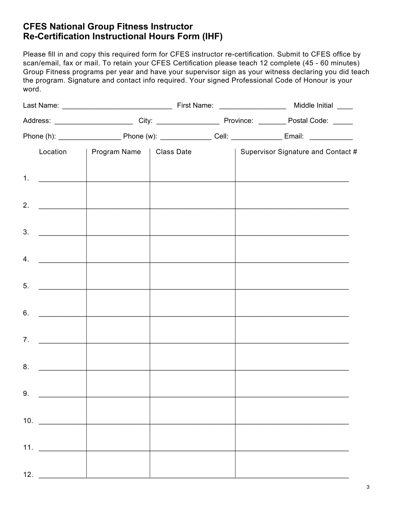## **CFES National Group Fitness Instructor Re-Certification Instructional Hours Form (IHF)**

Please fill in and copy this required form for CFES instructor re-certification. Submit to CFES office by scan/email, fax or mail. To retain your CFES Certification please teach 12 complete (45 - 60 minutes) Group Fitness programs per year and have your supervisor sign as your witness declaring you did teach the program. Signature and contact info required. Your signed Professional Code of Honour is your word.

|     |                     | Location   Program Name   Class Date                                                                                                                                                                                                 |                                                                                                                        |  |  | Supervisor Signature and Contact # |  |  |
|-----|---------------------|--------------------------------------------------------------------------------------------------------------------------------------------------------------------------------------------------------------------------------------|------------------------------------------------------------------------------------------------------------------------|--|--|------------------------------------|--|--|
|     | 1. $\qquad \qquad$  |                                                                                                                                                                                                                                      |                                                                                                                        |  |  |                                    |  |  |
|     |                     | 2. $\qquad \qquad$                                                                                                                                                                                                                   | the control of the control of the control of the control of the control of                                             |  |  |                                    |  |  |
|     | 3.                  |                                                                                                                                                                                                                                      |                                                                                                                        |  |  |                                    |  |  |
|     | 4.                  | <u> 1980 - Andrea Branden, amerikansk politik (</u>                                                                                                                                                                                  | <u> 1980 - Jan Barat, mark et al. 1980 - Anna anno 1980 - Anna anno 1980 - Anna anno 1980 - Anna anno 1980 - Anna </u> |  |  |                                    |  |  |
|     | 5.                  | <u> 1980 - Jan Stein Stein Stein Stein Stein Stein Stein Stein Stein Stein Stein Stein Stein Stein Stein Stein Stein Stein Stein Stein Stein Stein Stein Stein Stein Stein Stein Stein Stein Stein Stein Stein Stein Stein Stein</u> |                                                                                                                        |  |  |                                    |  |  |
|     |                     |                                                                                                                                                                                                                                      |                                                                                                                        |  |  |                                    |  |  |
|     | 6.                  |                                                                                                                                                                                                                                      |                                                                                                                        |  |  |                                    |  |  |
|     | 7.                  |                                                                                                                                                                                                                                      |                                                                                                                        |  |  |                                    |  |  |
|     | 8.                  |                                                                                                                                                                                                                                      |                                                                                                                        |  |  |                                    |  |  |
| 9.  |                     |                                                                                                                                                                                                                                      |                                                                                                                        |  |  |                                    |  |  |
|     | 10.                 |                                                                                                                                                                                                                                      |                                                                                                                        |  |  |                                    |  |  |
|     | 11. $\qquad \qquad$ |                                                                                                                                                                                                                                      |                                                                                                                        |  |  |                                    |  |  |
| 12. |                     |                                                                                                                                                                                                                                      |                                                                                                                        |  |  |                                    |  |  |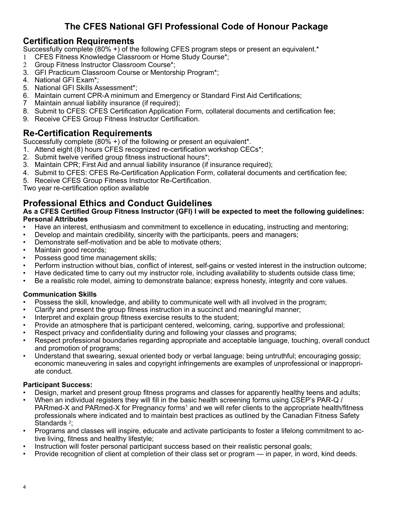## **The CFES National GFI Professional Code of Honour Package**

### **Certification Requirements**

Successfully complete (80% +) of the following CFES program steps or present an equivalent.\*

- 1 CFES Fitness Knowledge Classroom or Home Study Course\*;
- 2 Group Fitness Instructor Classroom Course\*;
- 3. GFI Practicum Classroom Course or Mentorship Program\*;
- 4. National GFI Exam\*;
- 5. National GFI Skills Assessment\*;
- 6. Maintain current CPR-A minimum and Emergency or Standard First Aid Certifications;
- 7 Maintain annual liability insurance (if required);
- 8. Submit to CFES: CFES Certification Application Form, collateral documents and certification fee;
- 9. Receive CFES Group Fitness Instructor Certification.

## **Re-Certification Requirements**

Successfully complete (80% +) of the following or present an equivalent\*.

- 1. Attend eight (8) hours CFES recognized re-certification workshop CECs\*;
- 2. Submit twelve verified group fitness instructional hours\*;
- 3. Maintain CPR; First Aid and annual liability insurance (if insurance required);
- 4. Submit to CFES: CFES Re-Certification Application Form, collateral documents and certification fee;
- 5. Receive CFES Group Fitness Instructor Re-Certification.

Two year re-certification option available

## **Professional Ethics and Conduct Guidelines**

#### **As a CFES Certified Group Fitness Instructor (GFI) I will be expected to meet the following guidelines: Personal Attributes**

- Have an interest, enthusiasm and commitment to excellence in educating, instructing and mentoring;
- Develop and maintain credibility, sincerity with the participants, peers and managers;
- Demonstrate self-motivation and be able to motivate others;
- Maintain good records;
- Possess good time management skills;
- Perform instruction without bias, conflict of interest, self-gains or vested interest in the instruction outcome;
- Have dedicated time to carry out my instructor role, including availability to students outside class time;
- Be a realistic role model, aiming to demonstrate balance; express honesty, integrity and core values.

### **Communication Skills**

- Possess the skill, knowledge, and ability to communicate well with all involved in the program;
- Clarify and present the group fitness instruction in a succinct and meaningful manner;
- Interpret and explain group fitness exercise results to the student;
- Provide an atmosphere that is participant centered, welcoming, caring, supportive and professional;
- Respect privacy and confidentiality during and following your classes and programs;
- Respect professional boundaries regarding appropriate and acceptable language, touching, overall conduct and promotion of programs;
- Understand that swearing, sexual oriented body or verbal language; being untruthful; encouraging gossip; economic maneuvering in sales and copyright infringements are examples of unprofessional or inappropriate conduct.

### **Participant Success:**

- Design, market and present group fitness programs and classes for apparently healthy teens and adults;
- When an individual registers they will fill in the basic health screening forms using CSEP's PAR-Q / PARmed-X and PARmed-X for Pregnancy forms<sup>1</sup> and we will refer clients to the appropriate health/fitness professionals where indicated and to maintain best practices as outlined by the Canadian Fitness Safety Standards <sup>2</sup>;
- Programs and classes will inspire, educate and activate participants to foster a lifelong commitment to active living, fitness and healthy lifestyle;
- Instruction will foster personal participant success based on their realistic personal goals;
- Provide recognition of client at completion of their class set or program in paper, in word, kind deeds.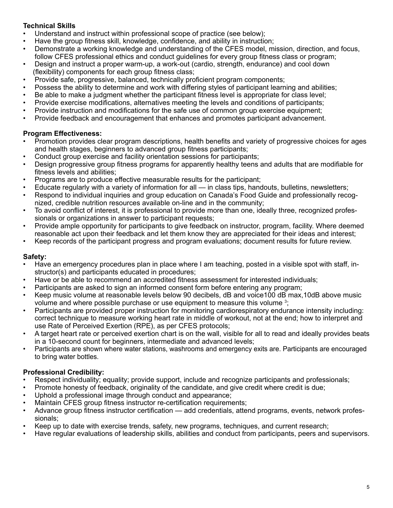### **Technical Skills**

- Understand and instruct within professional scope of practice (see below);
- Have the group fitness skill, knowledge, confidence, and ability in instruction;
- Demonstrate a working knowledge and understanding of the CFES model, mission, direction, and focus, follow CFES professional ethics and conduct guidelines for every group fitness class or program;
- Design and instruct a proper warm-up, a work-out (cardio, strength, endurance) and cool down (flexibility) components for each group fitness class;
- Provide safe, progressive, balanced, technically proficient program components;
- Possess the ability to determine and work with differing styles of participant learning and abilities;
- Be able to make a judgment whether the participant fitness level is appropriate for class level;
- Provide exercise modifications, alternatives meeting the levels and conditions of participants;
- Provide instruction and modifications for the safe use of common group exercise equipment;
- Provide feedback and encouragement that enhances and promotes participant advancement.

### **Program Effectiveness:**

- Promotion provides clear program descriptions, health benefits and variety of progressive choices for ages and health stages, beginners to advanced group fitness participants;
- Conduct group exercise and facility orientation sessions for participants;
- Design progressive group fitness programs for apparently healthy teens and adults that are modifiable for fitness levels and abilities;
- Programs are to produce effective measurable results for the participant;
- Educate regularly with a variety of information for all in class tips, handouts, bulletins, newsletters;
- Respond to individual inquiries and group education on Canada's Food Guide and professionally recognized, credible nutrition resources available on-line and in the community;
- To avoid conflict of interest, it is professional to provide more than one, ideally three, recognized professionals or organizations in answer to participant requests;
- Provide ample opportunity for participants to give feedback on instructor, program, facility. Where deemed reasonable act upon their feedback and let them know they are appreciated for their ideas and interest;
- Keep records of the participant progress and program evaluations; document results for future review.

### **Safety:**

- Have an emergency procedures plan in place where I am teaching, posted in a visible spot with staff, instructor(s) and participants educated in procedures;
- Have or be able to recommend an accredited fitness assessment for interested individuals;
- Participants are asked to sign an informed consent form before entering any program;
- Keep music volume at reasonable levels below 90 decibels, dB and voice100 dB max,10dB above music volume and where possible purchase or use equipment to measure this volume <sup>3</sup>;
- Participants are provided proper instruction for monitoring cardiorespiratory endurance intensity including: correct technique to measure working heart rate in middle of workout, not at the end; how to interpret and use Rate of Perceived Exertion (RPE), as per CFES protocols;
- A target heart rate or perceived exertion chart is on the wall, visible for all to read and ideally provides beats in a 10-second count for beginners, intermediate and advanced levels;
- Participants are shown where water stations, washrooms and emergency exits are. Participants are encouraged to bring water bottles.

### **Professional Credibility:**

- Respect individuality; equality; provide support, include and recognize participants and professionals;
- Promote honesty of feedback, originality of the candidate, and give credit where credit is due;
- Uphold a professional image through conduct and appearance;
- Maintain CFES group fitness instructor re-certification requirements;
- Advance group fitness instructor certification add credentials, attend programs, events, network professionals;
- Keep up to date with exercise trends, safety, new programs, techniques, and current research;
- Have regular evaluations of leadership skills, abilities and conduct from participants, peers and supervisors.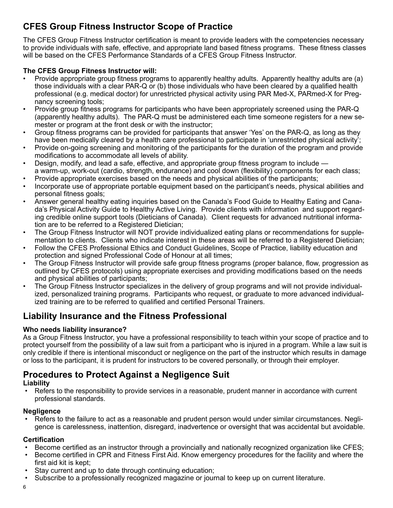## **CFES Group Fitness Instructor Scope of Practice**

The CFES Group Fitness Instructor certification is meant to provide leaders with the competencies necessary to provide individuals with safe, effective, and appropriate land based fitness programs. These fitness classes will be based on the CFES Performance Standards of a CFES Group Fitness Instructor.

### **The CFES Group Fitness Instructor will:**

- Provide appropriate group fitness programs to apparently healthy adults. Apparently healthy adults are (a) those individuals with a clear PAR-Q or (b) those individuals who have been cleared by a qualified health professional (e.g. medical doctor) for unrestricted physical activity using PAR Med-X, PARmed-X for Pregnancy screening tools;
- Provide group fitness programs for participants who have been appropriately screened using the PAR-Q (apparently healthy adults). The PAR-Q must be administered each time someone registers for a new semester or program at the front desk or with the instructor;
- Group fitness programs can be provided for participants that answer 'Yes' on the PAR-Q, as long as they have been medically cleared by a health care professional to participate in 'unrestricted physical activity';
- Provide on-going screening and monitoring of the participants for the duration of the program and provide modifications to accommodate all levels of ability.
- Design, modify, and lead a safe, effective, and appropriate group fitness program to include a warm-up, work-out (cardio, strength, endurance) and cool down (flexibility) components for each class;
- Provide appropriate exercises based on the needs and physical abilities of the participants;
- Incorporate use of appropriate portable equipment based on the participant's needs, physical abilities and personal fitness goals;
- Answer general healthy eating inquiries based on the Canada's Food Guide to Healthy Eating and Canada's Physical Activity Guide to Healthy Active Living. Provide clients with information and support regarding credible online support tools (Dieticians of Canada). Client requests for advanced nutritional information are to be referred to a Registered Dietician;
- The Group Fitness Instructor will NOT provide individualized eating plans or recommendations for supplementation to clients. Clients who indicate interest in these areas will be referred to a Registered Dietician;
- Follow the CFES Professional Ethics and Conduct Guidelines, Scope of Practice, liability education and protection and signed Professional Code of Honour at all times;
- The Group Fitness Instructor will provide safe group fitness programs (proper balance, flow, progression as outlined by CFES protocols) using appropriate exercises and providing modifications based on the needs and physical abilities of participants;
- The Group Fitness Instructor specializes in the delivery of group programs and will not provide individualized, personalized training programs. Participants who request, or graduate to more advanced individualized training are to be referred to qualified and certified Personal Trainers.

## **Liability Insurance and the Fitness Professional**

### **Who needs liability insurance?**

As a Group Fitness Instructor, you have a professional responsibility to teach within your scope of practice and to protect yourself from the possibility of a law suit from a participant who is injured in a program. While a law suit is only credible if there is intentional misconduct or negligence on the part of the instructor which results in damage or loss to the participant, it is prudent for instructors to be covered personally, or through their employer.

## **Procedures to Protect Against a Negligence Suit**

#### **Liability**

• Refers to the responsibility to provide services in a reasonable, prudent manner in accordance with current professional standards.

#### **Negligence**

• Refers to the failure to act as a reasonable and prudent person would under similar circumstances. Negligence is carelessness, inattention, disregard, inadvertence or oversight that was accidental but avoidable.

### **Certification**

- Become certified as an instructor through a provincially and nationally recognized organization like CFES;
- Become certified in CPR and Fitness First Aid. Know emergency procedures for the facility and where the first aid kit is kept;
- Stay current and up to date through continuing education:
- Subscribe to a professionally recognized magazine or journal to keep up on current literature.